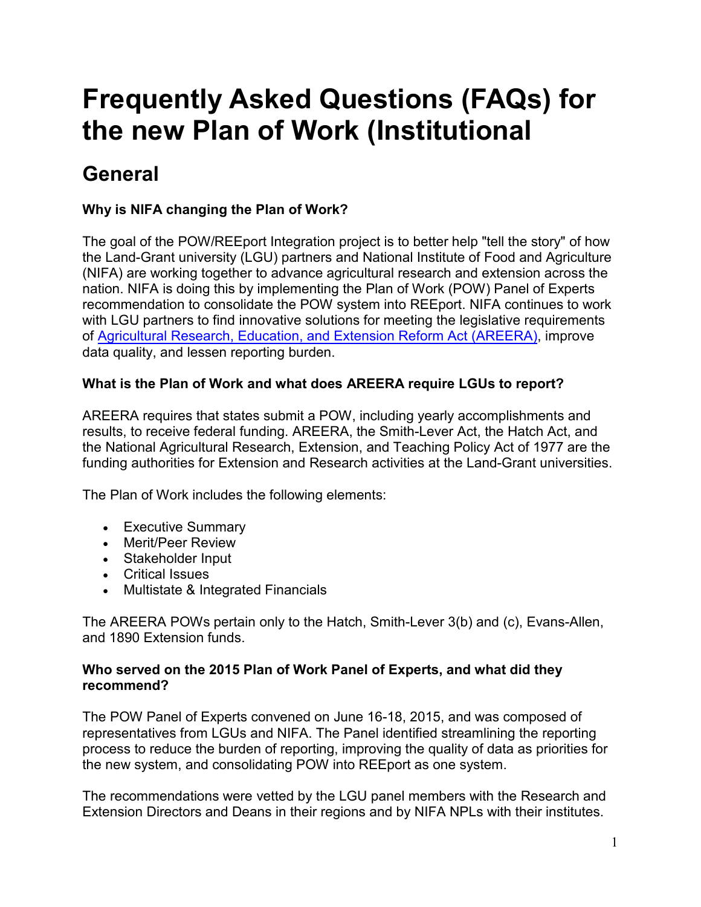# **Frequently Asked Questions (FAQs) for the new Plan of Work (Institutional**

# **General**

#### **Why is NIFA changing the Plan of Work?**

The goal of the POW/REEport Integration project is to better help "tell the story" of how the Land-Grant university (LGU) partners and National Institute of Food and Agriculture (NIFA) are working together to advance agricultural research and extension across the nation. NIFA is doing this by implementing the Plan of Work (POW) Panel of Experts recommendation to consolidate the POW system into REEport. NIFA continues to work with LGU partners to find innovative solutions for meeting the legislative requirements of [Agricultural Research, Education,](https://nifa.usda.gov/resource/agricultural-research-extension-and-education-reform-act-1998) and Extension Reform Act (AREERA), improve data quality, and lessen reporting burden.

#### **What is the Plan of Work and what does AREERA require LGUs to report?**

AREERA requires that states submit a POW, including yearly accomplishments and results, to receive federal funding. AREERA, the Smith-Lever Act, the Hatch Act, and the National Agricultural Research, Extension, and Teaching Policy Act of 1977 are the funding authorities for Extension and Research activities at the Land-Grant universities. Last updated: November 2019, 2019

The Plan of Work includes the following elements:

- Executive Summary
- Merit/Peer Review
- Stakeholder Input
- Critical Issues
- Multistate & Integrated Financials

The AREERA POWs pertain only to the Hatch, Smith-Lever 3(b) and (c), Evans-Allen, and 1890 Extension funds.

#### **Who served on the 2015 Plan of Work Panel of Experts, and what did they recommend?**

The POW Panel of Experts convened on June 16-18, 2015, and was composed of representatives from LGUs and NIFA. The Panel identified streamlining the reporting process to reduce the burden of reporting, improving the quality of data as priorities for the new system, and consolidating POW into REEport as one system.

The recommendations were vetted by the LGU panel members with the Research and Extension Directors and Deans in their regions and by NIFA NPLs with their institutes.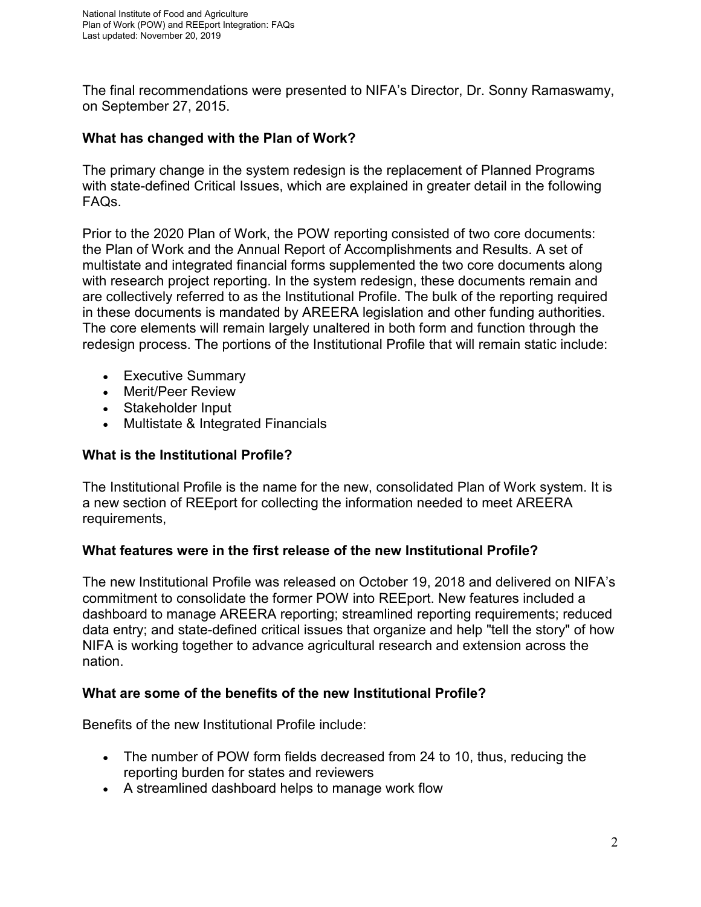The final recommendations were presented to NIFA's Director, Dr. Sonny Ramaswamy, on September 27, 2015.

#### **What has changed with the Plan of Work?**

The primary change in the system redesign is the replacement of Planned Programs with state-defined Critical Issues, which are explained in greater detail in the following FAQs.

Prior to the 2020 Plan of Work, the POW reporting consisted of two core documents: the Plan of Work and the Annual Report of Accomplishments and Results. A set of multistate and integrated financial forms supplemented the two core documents along with research project reporting. In the system redesign, these documents remain and are collectively referred to as the Institutional Profile. The bulk of the reporting required in these documents is mandated by AREERA legislation and other funding authorities. The core elements will remain largely unaltered in both form and function through the redesign process. The portions of the Institutional Profile that will remain static include:

- Executive Summary
- Merit/Peer Review
- Stakeholder Input
- Multistate & Integrated Financials

#### **What is the Institutional Profile?**

The Institutional Profile is the name for the new, consolidated Plan of Work system. It is a new section of REEport for collecting the information needed to meet AREERA requirements,

#### **What features were in the first release of the new Institutional Profile?**

The new Institutional Profile was released on October 19, 2018 and delivered on NIFA's commitment to consolidate the former POW into REEport. New features included a dashboard to manage AREERA reporting; streamlined reporting requirements; reduced data entry; and state-defined critical issues that organize and help "tell the story" of how NIFA is working together to advance agricultural research and extension across the nation.

#### **What are some of the benefits of the new Institutional Profile?**

Benefits of the new Institutional Profile include:

- The number of POW form fields decreased from 24 to 10, thus, reducing the reporting burden for states and reviewers
- A streamlined dashboard helps to manage work flow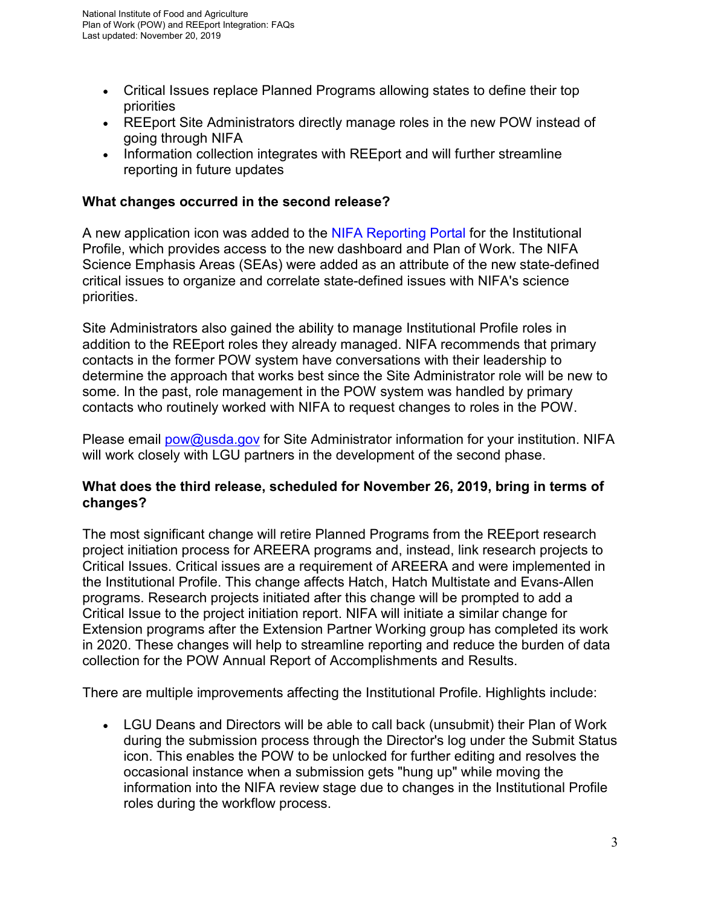- Critical Issues replace Planned Programs allowing states to define their top priorities
- REEport Site Administrators directly manage roles in the new POW instead of going through NIFA
- Information collection integrates with REEport and will further streamline reporting in future updates

#### **What changes occurred in the second release?**

A new application icon was added to the [NIFA Reporting Portal](https://portal.nifa.usda.gov/portal/front/login?service=https%3A%2F%2Fportal.nifa.usda.gov%2Fportal%2Ffront%2Fhome) for the Institutional Profile, which provides access to the new dashboard and Plan of Work. The NIFA Science Emphasis Areas (SEAs) were added as an attribute of the new state-defined critical issues to organize and correlate state-defined issues with NIFA's science priorities.

Site Administrators also gained the ability to manage Institutional Profile roles in addition to the REEport roles they already managed. NIFA recommends that primary contacts in the former POW system have conversations with their leadership to determine the approach that works best since the Site Administrator role will be new to some. In the past, role management in the POW system was handled by primary contacts who routinely worked with NIFA to request changes to roles in the POW.

Please email [pow@usda.gov](mailto:pow@usda.gov) for Site Administrator information for your institution. NIFA will work closely with LGU partners in the development of the second phase.

#### **What does the third release, scheduled for November 26, 2019, bring in terms of changes?**

The most significant change will retire Planned Programs from the REEport research project initiation process for AREERA programs and, instead, link research projects to Critical Issues. Critical issues are a requirement of AREERA and were implemented in the Institutional Profile. This change affects Hatch, Hatch Multistate and Evans-Allen programs. Research projects initiated after this change will be prompted to add a Critical Issue to the project initiation report. NIFA will initiate a similar change for Extension programs after the Extension Partner Working group has completed its work in 2020. These changes will help to streamline reporting and reduce the burden of data collection for the POW Annual Report of Accomplishments and Results.

There are multiple improvements affecting the Institutional Profile. Highlights include:

• LGU Deans and Directors will be able to call back (unsubmit) their Plan of Work during the submission process through the Director's log under the Submit Status icon. This enables the POW to be unlocked for further editing and resolves the occasional instance when a submission gets "hung up" while moving the information into the NIFA review stage due to changes in the Institutional Profile roles during the workflow process.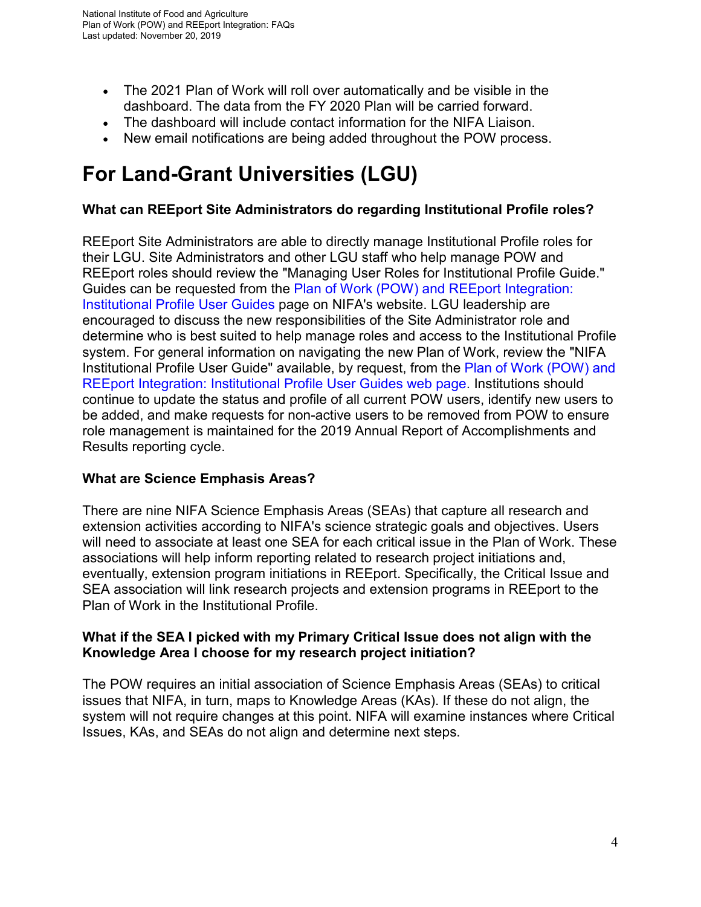- The 2021 Plan of Work will roll over automatically and be visible in the dashboard. The data from the FY 2020 Plan will be carried forward.
- The dashboard will include contact information for the NIFA Liaison.
- New email notifications are being added throughout the POW process.

## **For Land-Grant Universities (LGU)**

#### **What can REEport Site Administrators do regarding Institutional Profile roles?**

REEport Site Administrators are able to directly manage Institutional Profile roles for their LGU. Site Administrators and other LGU staff who help manage POW and REEport roles should review the "Managing User Roles for Institutional Profile Guide." Guides can be requested from the [Plan of Work \(POW\) and REEport Integration:](https://nifa.usda.gov/resource/plan-work-pow-and-reeport-integration-institutional-profile-user-guides)  [Institutional Profile User Guides](https://nifa.usda.gov/resource/plan-work-pow-and-reeport-integration-institutional-profile-user-guides) page on NIFA's website. LGU leadership are encouraged to discuss the new responsibilities of the Site Administrator role and determine who is best suited to help manage roles and access to the Institutional Profile system. For general information on navigating the new Plan of Work, review the "NIFA Institutional Profile User Guide" available, by request, from the [Plan of Work \(POW\) and](https://nifa.usda.gov/resource/plan-work-pow-and-reeport-integration-institutional-profile-user-guides)  [REEport Integration: Institutional Profile User Guides web page.](https://nifa.usda.gov/resource/plan-work-pow-and-reeport-integration-institutional-profile-user-guides) Institutions should continue to update the status and profile of all current POW users, identify new users to be added, and make requests for non-active users to be removed from POW to ensure role management is maintained for the 2019 Annual Report of Accomplishments and Results reporting cycle.

#### **What are Science Emphasis Areas?**

There are nine NIFA Science Emphasis Areas (SEAs) that capture all research and extension activities according to NIFA's science strategic goals and objectives. Users will need to associate at least one SEA for each critical issue in the Plan of Work. These associations will help inform reporting related to research project initiations and, eventually, extension program initiations in REEport. Specifically, the Critical Issue and SEA association will link research projects and extension programs in REEport to the Plan of Work in the Institutional Profile.

#### **What if the SEA I picked with my Primary Critical Issue does not align with the Knowledge Area I choose for my research project initiation?**

The POW requires an initial association of Science Emphasis Areas (SEAs) to critical issues that NIFA, in turn, maps to Knowledge Areas (KAs). If these do not align, the system will not require changes at this point. NIFA will examine instances where Critical Issues, KAs, and SEAs do not align and determine next steps.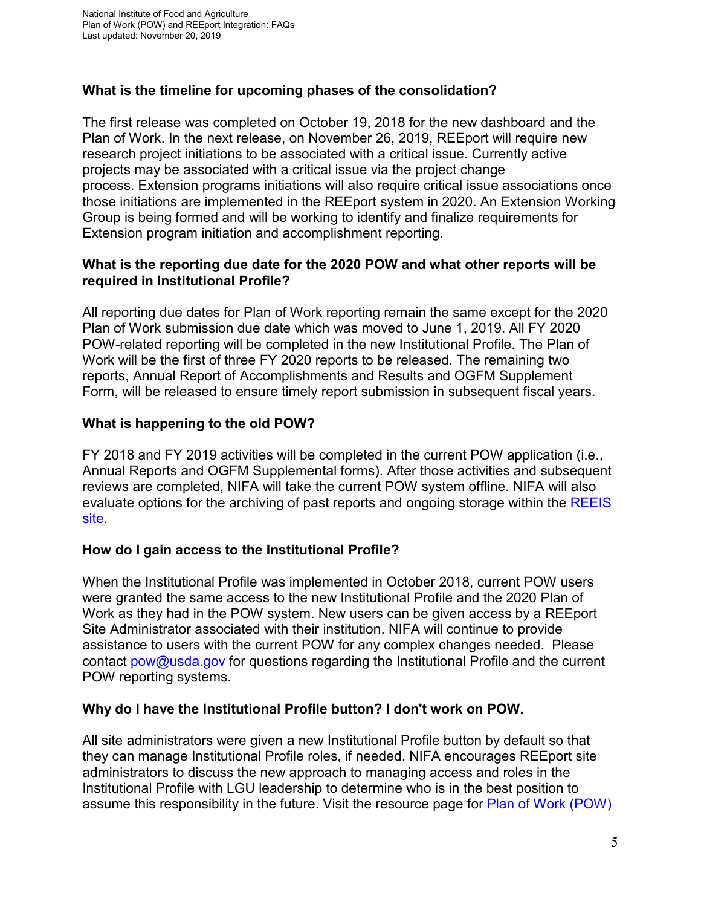#### **What is the timeline for upcoming phases of the consolidation?**

The first release was completed on October 19, 2018 for the new dashboard and the Plan of Work. In the next release, on November 26, 2019, REEport will require new research project initiations to be associated with a critical issue. Currently active projects may be associated with a critical issue via the project change process. Extension programs initiations will also require critical issue associations once those initiations are implemented in the REEport system in 2020. An Extension Working Group is being formed and will be working to identify and finalize requirements for Extension program initiation and accomplishment reporting.

#### **What is the reporting due date for the 2020 POW and what other reports will be required in Institutional Profile?**

All reporting due dates for Plan of Work reporting remain the same except for the 2020 Plan of Work submission due date which was moved to June 1, 2019. All FY 2020 POW-related reporting will be completed in the new Institutional Profile. The Plan of Work will be the first of three FY 2020 reports to be released. The remaining two reports, Annual Report of Accomplishments and Results and OGFM Supplement Form, will be released to ensure timely report submission in subsequent fiscal years.

#### **What is happening to the old POW?**

FY 2018 and FY 2019 activities will be completed in the current POW application (i.e., Annual Reports and OGFM Supplemental forms). After those activities and subsequent reviews are completed, NIFA will take the current POW system offline. NIFA will also evaluate options for the archiving of past reports and ongoing storage within the [REEIS](https://reeis.usda.gov/areera/search/2007/to-date)  [site.](https://reeis.usda.gov/areera/search/2007/to-date)

#### **How do I gain access to the Institutional Profile?**

When the Institutional Profile was implemented in October 2018, current POW users were granted the same access to the new Institutional Profile and the 2020 Plan of Work as they had in the POW system. New users can be given access by a REEport Site Administrator associated with their institution. NIFA will continue to provide assistance to users with the current POW for any complex changes needed. Please contact [pow@usda.gov](mailto:pow@usda.gov) for questions regarding the Institutional Profile and the current POW reporting systems.

#### **Why do I have the Institutional Profile button? I don't work on POW.**

All site administrators were given a new Institutional Profile button by default so that they can manage Institutional Profile roles, if needed. NIFA encourages REEport site administrators to discuss the new approach to managing access and roles in the Institutional Profile with LGU leadership to determine who is in the best position to assume this responsibility in the future. Visit the resource page for Plan of Work (POW)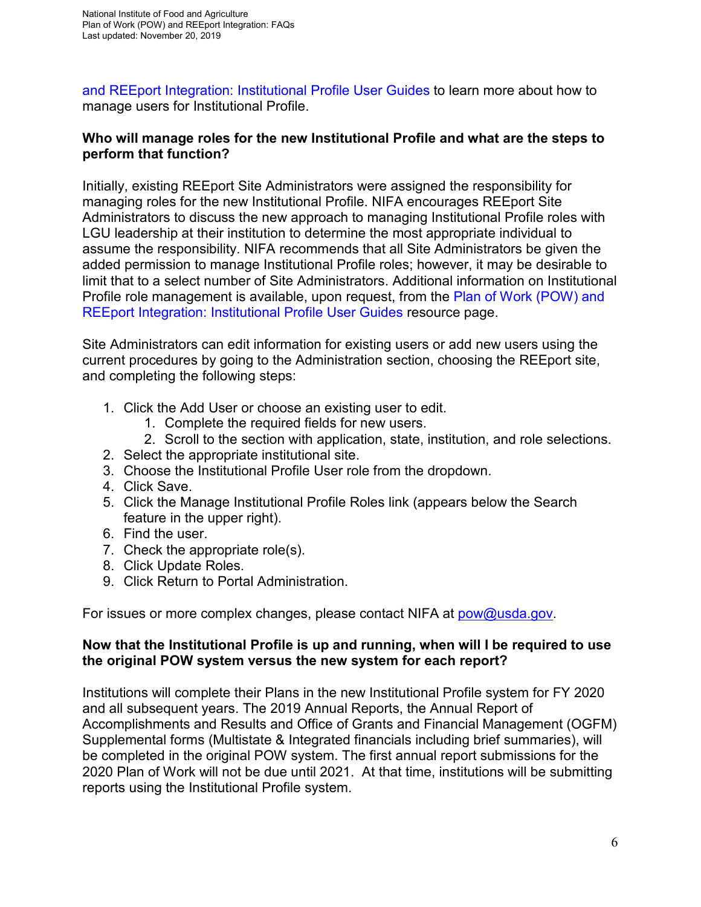[and REEport Integration: Institutional Profile User Guides](https://nifa.usda.gov/resource/plan-work-pow-and-reeport-integration-institutional-profile-user-guides) to learn more about how to manage users for Institutional Profile.

#### **Who will manage roles for the new Institutional Profile and what are the steps to perform that function?**

Initially, existing REEport Site Administrators were assigned the responsibility for managing roles for the new Institutional Profile. NIFA encourages REEport Site Administrators to discuss the new approach to managing Institutional Profile roles with LGU leadership at their institution to determine the most appropriate individual to assume the responsibility. NIFA recommends that all Site Administrators be given the added permission to manage Institutional Profile roles; however, it may be desirable to limit that to a select number of Site Administrators. Additional information on Institutional Profile role management is available, upon request, from the [Plan of Work \(POW\) and](https://nifa.usda.gov/resource/plan-work-pow-and-reeport-integration-institutional-profile-user-guides)  [REEport Integration: Institutional Profile User Guides](https://nifa.usda.gov/resource/plan-work-pow-and-reeport-integration-institutional-profile-user-guides) resource page.

Site Administrators can edit information for existing users or add new users using the current procedures by going to the Administration section, choosing the REEport site, and completing the following steps:

- 1. Click the Add User or choose an existing user to edit.
	- 1. Complete the required fields for new users.
	- 2. Scroll to the section with application, state, institution, and role selections.
- 2. Select the appropriate institutional site.
- 3. Choose the Institutional Profile User role from the dropdown.
- 4. Click Save.
- 5. Click the Manage Institutional Profile Roles link (appears below the Search feature in the upper right).
- 6. Find the user.
- 7. Check the appropriate role(s).
- 8. Click Update Roles.
- 9. Click Return to Portal Administration.

For issues or more complex changes, please contact NIFA at [pow@usda.gov.](mailto:pow@usda.gov)

#### **Now that the Institutional Profile is up and running, when will I be required to use the original POW system versus the new system for each report?**

Institutions will complete their Plans in the new Institutional Profile system for FY 2020 and all subsequent years. The 2019 Annual Reports, the Annual Report of Accomplishments and Results and Office of Grants and Financial Management (OGFM) Supplemental forms (Multistate & Integrated financials including brief summaries), will be completed in the original POW system. The first annual report submissions for the 2020 Plan of Work will not be due until 2021. At that time, institutions will be submitting reports using the Institutional Profile system.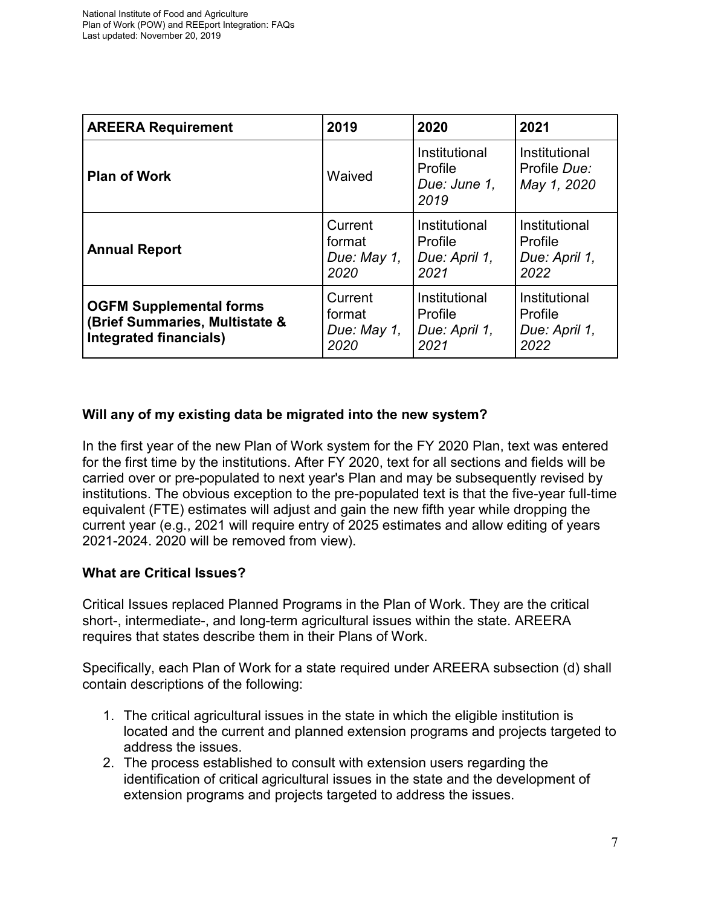| <b>AREERA Requirement</b>                                                                         | 2019                                     | 2020                                              | 2021                                              |
|---------------------------------------------------------------------------------------------------|------------------------------------------|---------------------------------------------------|---------------------------------------------------|
| <b>Plan of Work</b>                                                                               | Waived                                   | Institutional<br>Profile<br>Due: June 1.<br>2019  | Institutional<br>Profile Due:<br>May 1, 2020      |
| <b>Annual Report</b>                                                                              | Current<br>format<br>Due: May 1,<br>2020 | Institutional<br>Profile<br>Due: April 1,<br>2021 | Institutional<br>Profile<br>Due: April 1,<br>2022 |
| <b>OGFM Supplemental forms</b><br>(Brief Summaries, Multistate &<br><b>Integrated financials)</b> | Current<br>format<br>Due: May 1,<br>2020 | Institutional<br>Profile<br>Due: April 1,<br>2021 | Institutional<br>Profile<br>Due: April 1,<br>2022 |

#### **Will any of my existing data be migrated into the new system?**

In the first year of the new Plan of Work system for the FY 2020 Plan, text was entered for the first time by the institutions. After FY 2020, text for all sections and fields will be carried over or pre-populated to next year's Plan and may be subsequently revised by institutions. The obvious exception to the pre-populated text is that the five-year full-time equivalent (FTE) estimates will adjust and gain the new fifth year while dropping the current year (e.g., 2021 will require entry of 2025 estimates and allow editing of years 2021-2024. 2020 will be removed from view).

#### **What are Critical Issues?**

Critical Issues replaced Planned Programs in the Plan of Work. They are the critical short-, intermediate-, and long-term agricultural issues within the state. AREERA requires that states describe them in their Plans of Work.

Specifically, each Plan of Work for a state required under AREERA subsection (d) shall contain descriptions of the following:

- 1. The critical agricultural issues in the state in which the eligible institution is located and the current and planned extension programs and projects targeted to address the issues.
- 2. The process established to consult with extension users regarding the identification of critical agricultural issues in the state and the development of extension programs and projects targeted to address the issues.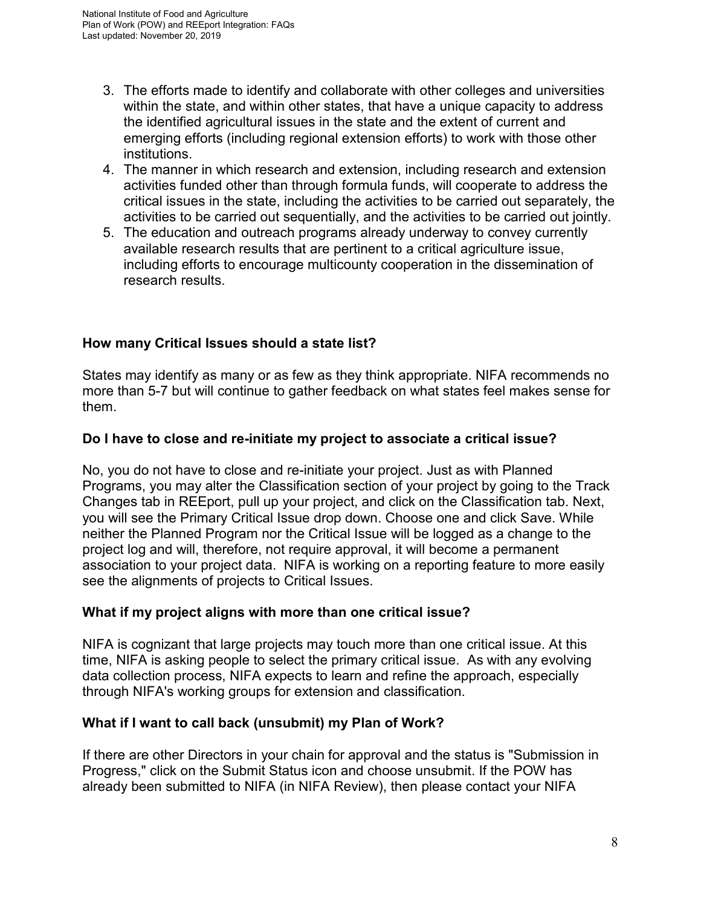- 3. The efforts made to identify and collaborate with other colleges and universities within the state, and within other states, that have a unique capacity to address the identified agricultural issues in the state and the extent of current and emerging efforts (including regional extension efforts) to work with those other institutions.
- 4. The manner in which research and extension, including research and extension activities funded other than through formula funds, will cooperate to address the critical issues in the state, including the activities to be carried out separately, the activities to be carried out sequentially, and the activities to be carried out jointly.
- 5. The education and outreach programs already underway to convey currently available research results that are pertinent to a critical agriculture issue, including efforts to encourage multicounty cooperation in the dissemination of research results.

#### **How many Critical Issues should a state list?**

States may identify as many or as few as they think appropriate. NIFA recommends no more than 5-7 but will continue to gather feedback on what states feel makes sense for them.

#### **Do I have to close and re-initiate my project to associate a critical issue?**

No, you do not have to close and re-initiate your project. Just as with Planned Programs, you may alter the Classification section of your project by going to the Track Changes tab in REEport, pull up your project, and click on the Classification tab. Next, you will see the Primary Critical Issue drop down. Choose one and click Save. While neither the Planned Program nor the Critical Issue will be logged as a change to the project log and will, therefore, not require approval, it will become a permanent association to your project data. NIFA is working on a reporting feature to more easily see the alignments of projects to Critical Issues.

#### **What if my project aligns with more than one critical issue?**

NIFA is cognizant that large projects may touch more than one critical issue. At this time, NIFA is asking people to select the primary critical issue. As with any evolving data collection process, NIFA expects to learn and refine the approach, especially through NIFA's working groups for extension and classification.

#### **What if I want to call back (unsubmit) my Plan of Work?**

If there are other Directors in your chain for approval and the status is "Submission in Progress," click on the Submit Status icon and choose unsubmit. If the POW has already been submitted to NIFA (in NIFA Review), then please contact your NIFA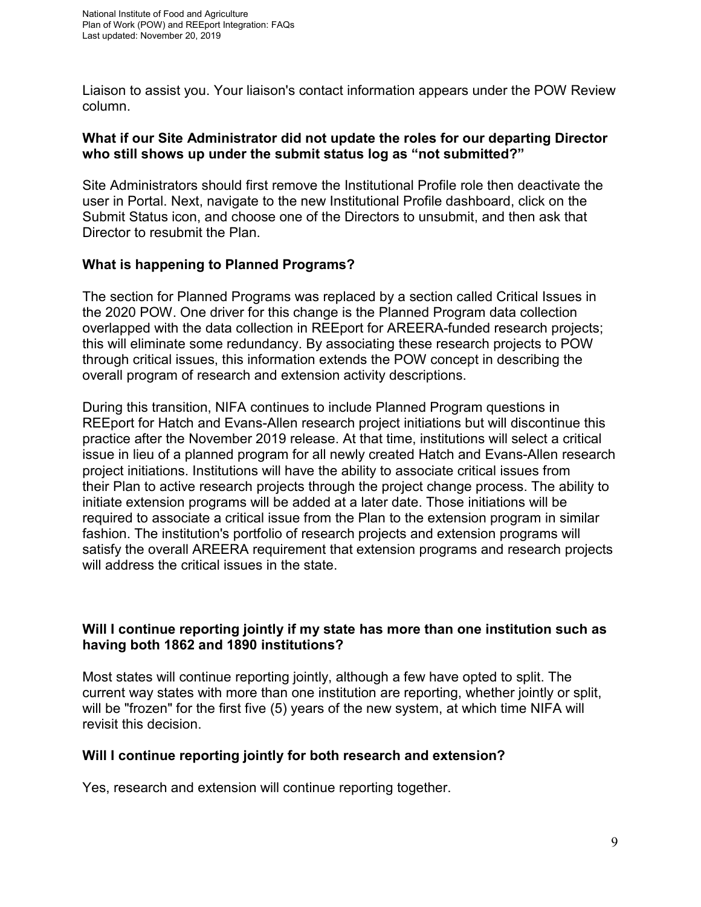Liaison to assist you. Your liaison's contact information appears under the POW Review column.

#### **What if our Site Administrator did not update the roles for our departing Director who still shows up under the submit status log as "not submitted?"**

Site Administrators should first remove the Institutional Profile role then deactivate the user in Portal. Next, navigate to the new Institutional Profile dashboard, click on the Submit Status icon, and choose one of the Directors to unsubmit, and then ask that Director to resubmit the Plan.

#### **What is happening to Planned Programs?**

The section for Planned Programs was replaced by a section called Critical Issues in the 2020 POW. One driver for this change is the Planned Program data collection overlapped with the data collection in REEport for AREERA-funded research projects; this will eliminate some redundancy. By associating these research projects to POW through critical issues, this information extends the POW concept in describing the overall program of research and extension activity descriptions.

During this transition, NIFA continues to include Planned Program questions in REEport for Hatch and Evans-Allen research project initiations but will discontinue this practice after the November 2019 release. At that time, institutions will select a critical issue in lieu of a planned program for all newly created Hatch and Evans-Allen research project initiations. Institutions will have the ability to associate critical issues from their Plan to active research projects through the project change process. The ability to initiate extension programs will be added at a later date. Those initiations will be required to associate a critical issue from the Plan to the extension program in similar fashion. The institution's portfolio of research projects and extension programs will satisfy the overall AREERA requirement that extension programs and research projects will address the critical issues in the state.

#### **Will I continue reporting jointly if my state has more than one institution such as having both 1862 and 1890 institutions?**

Most states will continue reporting jointly, although a few have opted to split. The current way states with more than one institution are reporting, whether jointly or split, will be "frozen" for the first five (5) years of the new system, at which time NIFA will revisit this decision.

#### **Will I continue reporting jointly for both research and extension?**

Yes, research and extension will continue reporting together.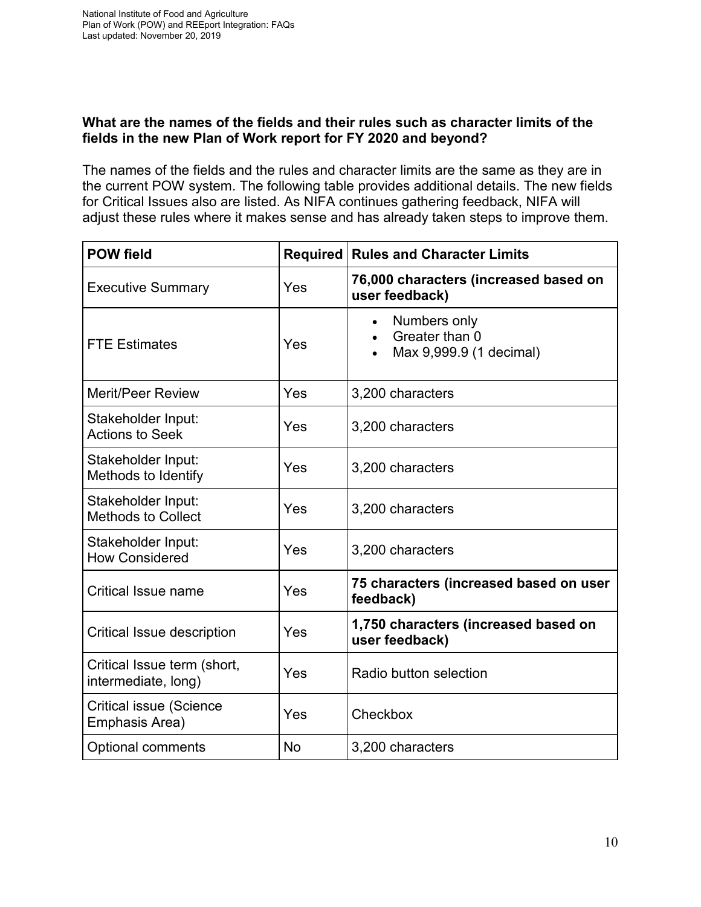#### **What are the names of the fields and their rules such as character limits of the fields in the new Plan of Work report for FY 2020 and beyond?**

The names of the fields and the rules and character limits are the same as they are in the current POW system. The following table provides additional details. The new fields for Critical Issues also are listed. As NIFA continues gathering feedback, NIFA will adjust these rules where it makes sense and has already taken steps to improve them.

| <b>POW field</b>                                   | <b>Required</b> | <b>Rules and Character Limits</b>                                      |
|----------------------------------------------------|-----------------|------------------------------------------------------------------------|
| <b>Executive Summary</b>                           | Yes             | 76,000 characters (increased based on<br>user feedback)                |
| <b>FTE Estimates</b>                               | Yes             | Numbers only<br>$\bullet$<br>Greater than 0<br>Max 9,999.9 (1 decimal) |
| <b>Merit/Peer Review</b>                           | Yes             | 3,200 characters                                                       |
| Stakeholder Input:<br><b>Actions to Seek</b>       | Yes             | 3,200 characters                                                       |
| Stakeholder Input:<br>Methods to Identify          | Yes             | 3,200 characters                                                       |
| Stakeholder Input:<br><b>Methods to Collect</b>    | Yes             | 3,200 characters                                                       |
| Stakeholder Input:<br><b>How Considered</b>        | Yes             | 3,200 characters                                                       |
| <b>Critical Issue name</b>                         | Yes             | 75 characters (increased based on user<br>feedback)                    |
| <b>Critical Issue description</b>                  | Yes             | 1,750 characters (increased based on<br>user feedback)                 |
| Critical Issue term (short,<br>intermediate, long) | Yes             | Radio button selection                                                 |
| <b>Critical issue (Science</b><br>Emphasis Area)   | Yes             | Checkbox                                                               |
| <b>Optional comments</b>                           | <b>No</b>       | 3,200 characters                                                       |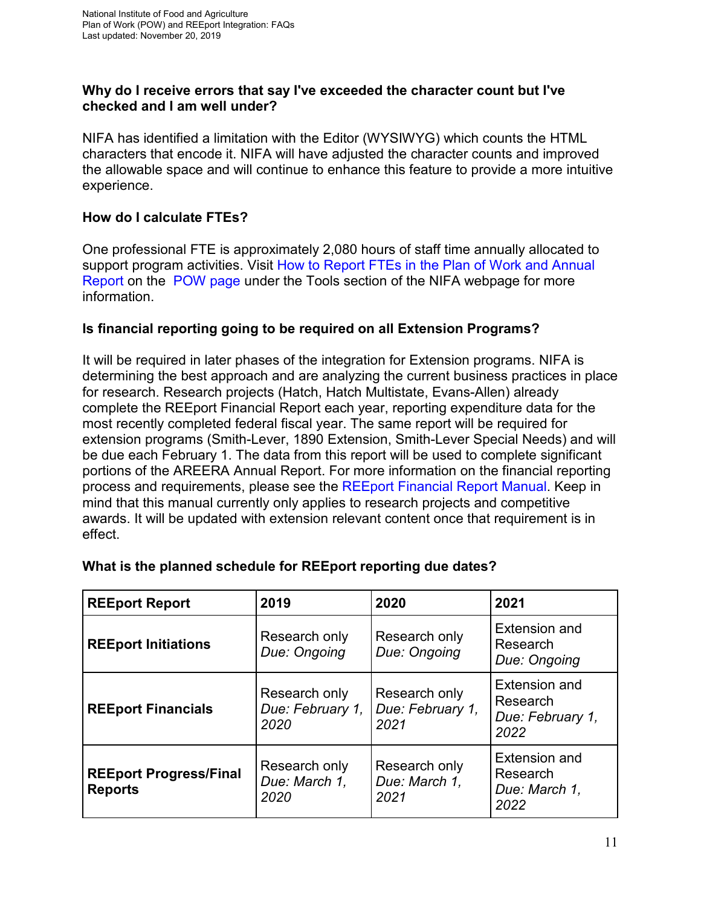#### **Why do I receive errors that say I've exceeded the character count but I've checked and I am well under?**

NIFA has identified a limitation with the Editor (WYSIWYG) which counts the HTML characters that encode it. NIFA will have adjusted the character counts and improved the allowable space and will continue to enhance this feature to provide a more intuitive experience.

#### **How do I calculate FTEs?**

One professional FTE is approximately 2,080 hours of staff time annually allocated to support program activities. Visit [How to Report FTEs in the Plan of Work and Annual](https://nifa.usda.gov/sites/default/files/resource/How%20to%20Report%20FTEs%20in%20the%20Plan%20of%20Work%20and%20Annual%20Report.pdf)  [Report](https://nifa.usda.gov/sites/default/files/resource/How%20to%20Report%20FTEs%20in%20the%20Plan%20of%20Work%20and%20Annual%20Report.pdf) on the [POW page](https://nifa.usda.gov/tool/pow) under the Tools section of the NIFA webpage for more information.

#### **Is financial reporting going to be required on all Extension Programs?**

It will be required in later phases of the integration for Extension programs. NIFA is determining the best approach and are analyzing the current business practices in place for research. Research projects (Hatch, Hatch Multistate, Evans-Allen) already complete the REEport Financial Report each year, reporting expenditure data for the most recently completed federal fiscal year. The same report will be required for extension programs (Smith-Lever, 1890 Extension, Smith-Lever Special Needs) and will be due each February 1. The data from this report will be used to complete significant portions of the AREERA Annual Report. For more information on the financial reporting process and requirements, please see the [REEport Financial Report Manual.](https://nifa.usda.gov/resource/reeport-financial-report-manual) Keep in mind that this manual currently only applies to research projects and competitive awards. It will be updated with extension relevant content once that requirement is in effect.

| <b>REEport Report</b>                           | 2019                                      | 2020                                      | 2021                                                      |
|-------------------------------------------------|-------------------------------------------|-------------------------------------------|-----------------------------------------------------------|
| <b>REEport Initiations</b>                      | Research only<br>Due: Ongoing             | Research only<br>Due: Ongoing             | Extension and<br>Research<br>Due: Ongoing                 |
| <b>REEport Financials</b>                       | Research only<br>Due: February 1,<br>2020 | Research only<br>Due: February 1,<br>2021 | Extension and<br>Research<br>Due: February 1,<br>2022     |
| <b>REEport Progress/Final</b><br><b>Reports</b> | Research only<br>Due: March 1,<br>2020    | Research only<br>Due: March 1,<br>2021    | <b>Extension and</b><br>Research<br>Due: March 1,<br>2022 |

#### **What is the planned schedule for REEport reporting due dates?**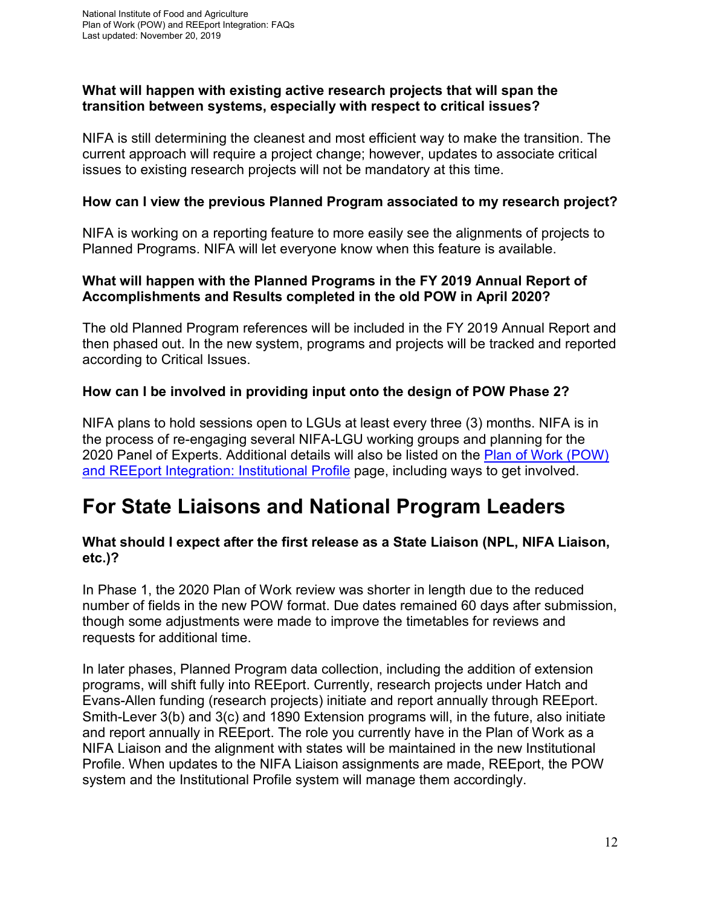#### **What will happen with existing active research projects that will span the transition between systems, especially with respect to critical issues?**

NIFA is still determining the cleanest and most efficient way to make the transition. The current approach will require a project change; however, updates to associate critical issues to existing research projects will not be mandatory at this time.

#### **How can I view the previous Planned Program associated to my research project?**

NIFA is working on a reporting feature to more easily see the alignments of projects to Planned Programs. NIFA will let everyone know when this feature is available.

#### **What will happen with the Planned Programs in the FY 2019 Annual Report of Accomplishments and Results completed in the old POW in April 2020?**

The old Planned Program references will be included in the FY 2019 Annual Report and then phased out. In the new system, programs and projects will be tracked and reported according to Critical Issues.

#### **How can I be involved in providing input onto the design of POW Phase 2?**

NIFA plans to hold sessions open to LGUs at least every three (3) months. NIFA is in the process of re-engaging several NIFA-LGU working groups and planning for the 2020 Panel of Experts. Additional details will also be listed on the Plan of [Work \(POW\)](https://nifa.usda.gov/plan-work-pow-and-reeport-integration-institutional-profile) [and REEport Integration:](https://nifa.usda.gov/plan-work-pow-and-reeport-integration-institutional-profile) Institutional Profile page, including ways to get involved.

### **For State Liaisons and National Program Leaders**

#### **What should I expect after the first release as a State Liaison (NPL, NIFA Liaison, etc.)?**

In Phase 1, the 2020 Plan of Work review was shorter in length due to the reduced number of fields in the new POW format. Due dates remained 60 days after submission, though some adjustments were made to improve the timetables for reviews and requests for additional time.

In later phases, Planned Program data collection, including the addition of extension programs, will shift fully into REEport. Currently, research projects under Hatch and Evans-Allen funding (research projects) initiate and report annually through REEport. Smith-Lever 3(b) and 3(c) and 1890 Extension programs will, in the future, also initiate and report annually in REEport. The role you currently have in the Plan of Work as a NIFA Liaison and the alignment with states will be maintained in the new Institutional Profile. When updates to the NIFA Liaison assignments are made, REEport, the POW system and the Institutional Profile system will manage them accordingly.